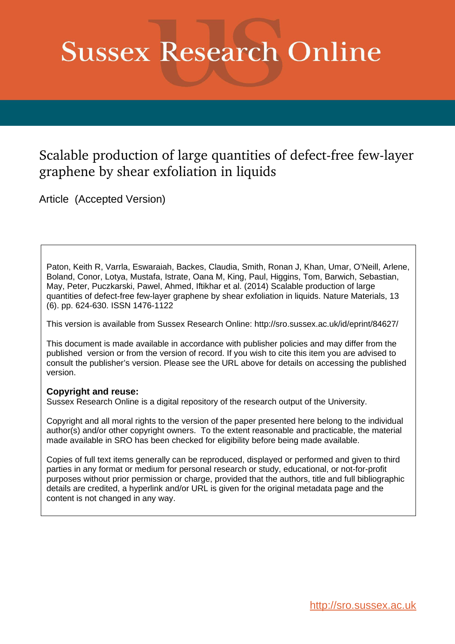# **Sussex Research Online**

### Scalable production of large quantities of defect-free few-layer graphene by shear exfoliation in liquids

Article (Accepted Version)

Paton, Keith R, Varrla, Eswaraiah, Backes, Claudia, Smith, Ronan J, Khan, Umar, O'Neill, Arlene, Boland, Conor, Lotya, Mustafa, Istrate, Oana M, King, Paul, Higgins, Tom, Barwich, Sebastian, May, Peter, Puczkarski, Pawel, Ahmed, Iftikhar et al. (2014) Scalable production of large quantities of defect-free few-layer graphene by shear exfoliation in liquids. Nature Materials, 13 (6). pp. 624-630. ISSN 1476-1122

This version is available from Sussex Research Online: http://sro.sussex.ac.uk/id/eprint/84627/

This document is made available in accordance with publisher policies and may differ from the published version or from the version of record. If you wish to cite this item you are advised to consult the publisher's version. Please see the URL above for details on accessing the published version.

#### **Copyright and reuse:**

Sussex Research Online is a digital repository of the research output of the University.

Copyright and all moral rights to the version of the paper presented here belong to the individual author(s) and/or other copyright owners. To the extent reasonable and practicable, the material made available in SRO has been checked for eligibility before being made available.

Copies of full text items generally can be reproduced, displayed or performed and given to third parties in any format or medium for personal research or study, educational, or not-for-profit purposes without prior permission or charge, provided that the authors, title and full bibliographic details are credited, a hyperlink and/or URL is given for the original metadata page and the content is not changed in any way.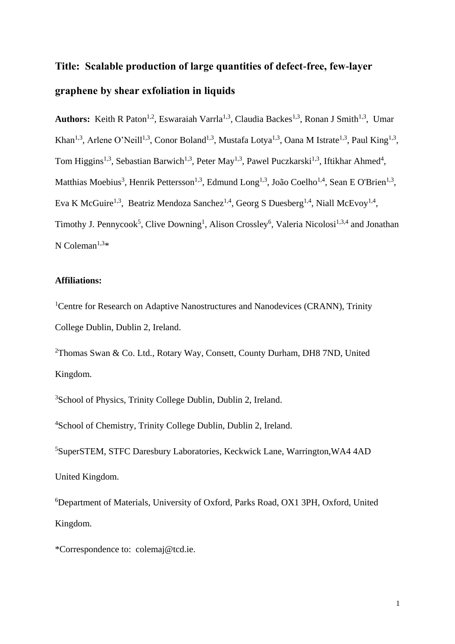## **Title: Scalable production of large quantities of defect-free, few-layer graphene by shear exfoliation in liquids**

Authors: Keith R Paton<sup>1,2</sup>, Eswaraiah Varrla<sup>1,3</sup>, Claudia Backes<sup>1,3</sup>, Ronan J Smith<sup>1,3</sup>, Umar Khan<sup>1,3</sup>, Arlene O'Neill<sup>1,3</sup>, Conor Boland<sup>1,3</sup>, Mustafa Lotya<sup>1,3</sup>, Oana M Istrate<sup>1,3</sup>, Paul King<sup>1,3</sup>, Tom Higgins<sup>1,3</sup>, Sebastian Barwich<sup>1,3</sup>, Peter May<sup>1,3</sup>, Pawel Puczkarski<sup>1,3</sup>, Iftikhar Ahmed<sup>4</sup>, Matthias Moebius<sup>3</sup>, Henrik Pettersson<sup>1,3</sup>, Edmund Long<sup>1,3</sup>, João Coelho<sup>1,4</sup>, Sean E O'Brien<sup>1,3</sup>, Eva K McGuire<sup>1,3</sup>, Beatriz Mendoza Sanchez<sup>1,4</sup>, Georg S Duesberg<sup>1,4</sup>, Niall McEvoy<sup>1,4</sup>, Timothy J. Pennycook<sup>5</sup>, Clive Downing<sup>1</sup>, Alison Crossley<sup>6</sup>, Valeria Nicolosi<sup>1,3,4</sup> and Jonathan N Coleman $1,3*$ 

#### **Affiliations:**

<sup>1</sup>Centre for Research on Adaptive Nanostructures and Nanodevices (CRANN), Trinity College Dublin, Dublin 2, Ireland.

<sup>2</sup>Thomas Swan & Co. Ltd., Rotary Way, Consett, County Durham, DH8 7ND, United Kingdom.

<sup>3</sup>School of Physics, Trinity College Dublin, Dublin 2, Ireland.

<sup>4</sup>School of Chemistry, Trinity College Dublin, Dublin 2, Ireland.

<sup>5</sup>SuperSTEM, STFC Daresbury Laboratories, Keckwick Lane, Warrington,WA4 4AD United Kingdom.

<sup>6</sup>Department of Materials, University of Oxford, Parks Road, OX1 3PH, Oxford, United Kingdom.

\*Correspondence to: colemaj@tcd.ie.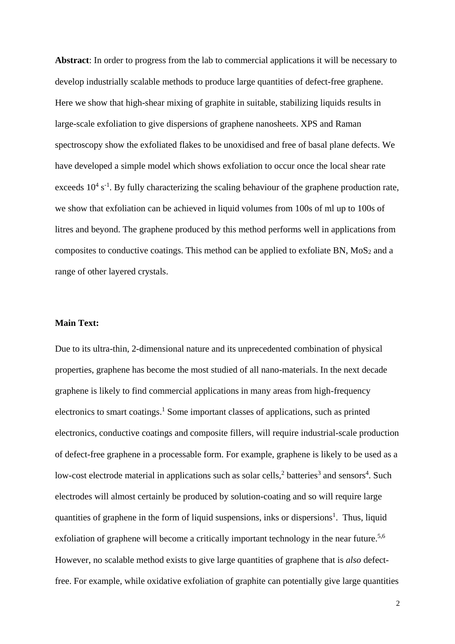**Abstract**: In order to progress from the lab to commercial applications it will be necessary to develop industrially scalable methods to produce large quantities of defect-free graphene. Here we show that high-shear mixing of graphite in suitable, stabilizing liquids results in large-scale exfoliation to give dispersions of graphene nanosheets. XPS and Raman spectroscopy show the exfoliated flakes to be unoxidised and free of basal plane defects. We have developed a simple model which shows exfoliation to occur once the local shear rate exceeds  $10^4$  s<sup>-1</sup>. By fully characterizing the scaling behaviour of the graphene production rate, we show that exfoliation can be achieved in liquid volumes from 100s of ml up to 100s of litres and beyond. The graphene produced by this method performs well in applications from composites to conductive coatings. This method can be applied to exfoliate BN,  $MoS<sub>2</sub>$  and a range of other layered crystals.

#### **Main Text:**

Due to its ultra-thin, 2-dimensional nature and its unprecedented combination of physical properties, graphene has become the most studied of all nano-materials. In the next decade graphene is likely to find commercial applications in many areas from high-frequency electronics to smart coatings. [1](#page-17-0) Some important classes of applications, such as printed electronics, conductive coatings and composite fillers, will require industrial-scale production of defect-free graphene in a processable form. For example, graphene is likely to be used as a low-cost electrode material in applications such as solar cells,<sup>[2](#page-17-1)</sup> batteries<sup>[3](#page-17-2)</sup> and sensors<sup>[4](#page-17-3)</sup>. Such electrodes will almost certainly be produced by solution-coating and so will require large quantities of graphene in the form of liquid suspensions, inks or dispersions<sup>1</sup>[.](#page-17-0) Thus, liquid exfoliation of graphene will become a critically important technology in the near future.<sup>[5](#page-17-4)[,6](#page-17-5)</sup> However, no scalable method exists to give large quantities of graphene that is *also* defectfree. For example, while oxidative exfoliation of graphite can potentially give large quantities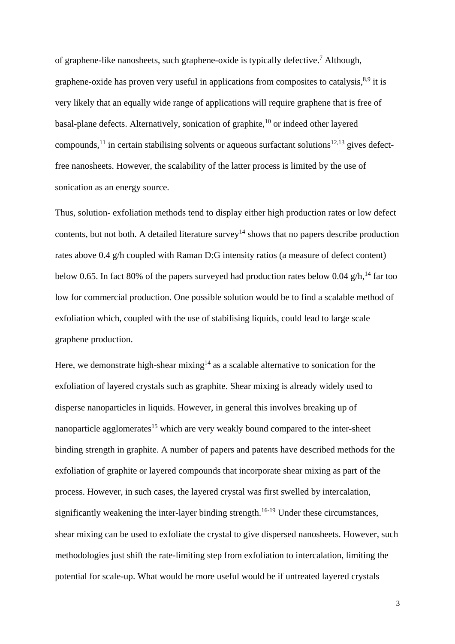of graphene-like nanosheets, such graphene-oxide is typically defective. [7](#page-17-6) Although, graphene-oxide has proven very useful in applications from composites to catalysis,<sup>[8,](#page-17-7)[9](#page-17-8)</sup> it is very likely that an equally wide range of applications will require graphene that is free of basal-plane defects. Alternatively, sonication of graphite, $10$  or indeed other layered compounds,<sup>[11](#page-17-10)</sup> in certain stabilising solvents or aqueous surfactant solutions<sup>[12,](#page-17-11)[13](#page-17-12)</sup> gives defectfree nanosheets. However, the scalability of the latter process is limited by the use of sonication as an energy source.

Thus, solution- exfoliation methods tend to display either high production rates or low defect contents, but not both. A detailed literature survey<sup>[14](#page-17-13)</sup> shows that no papers describe production rates above 0.4 g/h coupled with Raman D:G intensity ratios (a measure of defect content) below 0.65. In fact 80% of the papers surveyed had production rates below 0.04  $g/h$ ,<sup>[14](#page-17-13)</sup> far too low for commercial production. One possible solution would be to find a scalable method of exfoliation which, coupled with the use of stabilising liquids, could lead to large scale graphene production.

Here, we demonstrate high-shear mixing<sup>[14](#page-17-13)</sup> as a scalable alternative to sonication for the exfoliation of layered crystals such as graphite. Shear mixing is already widely used to disperse nanoparticles in liquids. However, in general this involves breaking up of nanoparticle agglomerates<sup>[15](#page-17-14)</sup> which are very weakly bound compared to the inter-sheet binding strength in graphite. A number of papers and patents have described methods for the exfoliation of graphite or layered compounds that incorporate shear mixing as part of the process. However, in such cases, the layered crystal was first swelled by intercalation, significantly weakening the inter-layer binding strength.<sup>[16-19](#page-17-15)</sup> Under these circumstances, shear mixing can be used to exfoliate the crystal to give dispersed nanosheets. However, such methodologies just shift the rate-limiting step from exfoliation to intercalation, limiting the potential for scale-up. What would be more useful would be if untreated layered crystals

3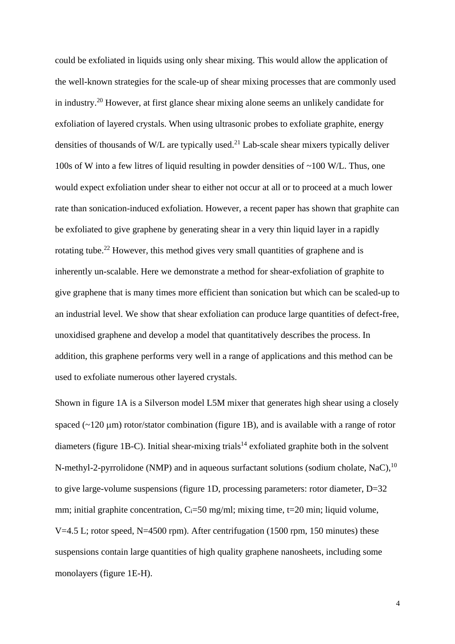could be exfoliated in liquids using only shear mixing. This would allow the application of the well-known strategies for the scale-up of shear mixing processes that are commonly used in industry. [20](#page-17-16) However, at first glance shear mixing alone seems an unlikely candidate for exfoliation of layered crystals. When using ultrasonic probes to exfoliate graphite, energy densities of thousands of W/L are typically used.<sup>[21](#page-17-17)</sup> Lab-scale shear mixers typically deliver 100s of W into a few litres of liquid resulting in powder densities of ~100 W/L. Thus, one would expect exfoliation under shear to either not occur at all or to proceed at a much lower rate than sonication-induced exfoliation. However, a recent paper has shown that graphite can be exfoliated to give graphene by generating shear in a very thin liquid layer in a rapidly rotating tube.<sup>[22](#page-18-0)</sup> However, this method gives very small quantities of graphene and is inherently un-scalable. Here we demonstrate a method for shear-exfoliation of graphite to give graphene that is many times more efficient than sonication but which can be scaled-up to an industrial level. We show that shear exfoliation can produce large quantities of defect-free, unoxidised graphene and develop a model that quantitatively describes the process. In addition, this graphene performs very well in a range of applications and this method can be used to exfoliate numerous other layered crystals.

Shown in figure 1A is a Silverson model L5M mixer that generates high shear using a closely spaced ( $\sim$ 120  $\mu$ m) rotor/stator combination (figure 1B), and is available with a range of rotor diameters (figure 1B-C). Initial shear-mixing trials<sup>[14](#page-17-13)</sup> exfoliated graphite both in the solvent N-methyl-2-pyrrolidone (NMP) and in aqueous surfactant solutions (sodium cholate, NaC),<sup>[10](#page-17-9)</sup> to give large-volume suspensions (figure 1D, processing parameters: rotor diameter, D=32 mm; initial graphite concentration,  $C_i = 50$  mg/ml; mixing time,  $t = 20$  min; liquid volume, V=4.5 L; rotor speed, N=4500 rpm). After centrifugation (1500 rpm, 150 minutes) these suspensions contain large quantities of high quality graphene nanosheets, including some monolayers (figure 1E-H).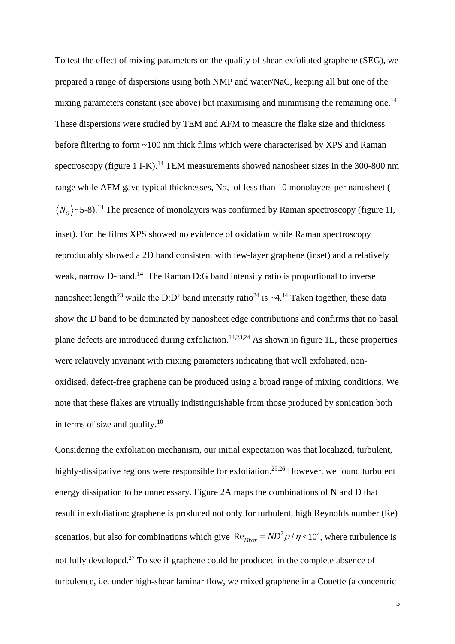To test the effect of mixing parameters on the quality of shear-exfoliated graphene (SEG), we prepared a range of dispersions using both NMP and water/NaC, keeping all but one of the mixing parameters constant (see above) but maximising and minimising the remaining one.<sup>[14](#page-17-13)</sup> These dispersions were studied by TEM and AFM to measure the flake size and thickness before filtering to form ~100 nm thick films which were characterised by XPS and Raman spectroscopy (figure 1 I-K).<sup>[14](#page-17-13)</sup> TEM measurements showed nanosheet sizes in the 300-800 nm range while AFM gave typical thicknesses, NG, of less than 10 monolayers per nanosheet (  $N_G$   $\sim$  5-8).<sup>[14](#page-17-13)</sup> The presence of monolayers was confirmed by Raman spectroscopy (figure 1I, inset). For the films XPS showed no evidence of oxidation while Raman spectroscopy reproducably showed a 2D band consistent with few-layer graphene (inset) and a relatively weak, narrow D-band.<sup>[14](#page-17-13)</sup> The Raman D:G band intensity ratio is proportional to inverse nanosheet length<sup>[23](#page-18-1)</sup> while the D:D' band intensity ratio<sup>[24](#page-18-2)</sup> is  $\sim$ 4.<sup>[14](#page-17-13)</sup> Taken together, these data show the D band to be dominated by nanosheet edge contributions and confirms that no basal plane defects are introduced during exfoliation.<sup>[14](#page-17-13)[,23](#page-18-1)[,24](#page-18-2)</sup> As shown in figure 1L, these properties were relatively invariant with mixing parameters indicating that well exfoliated, nonoxidised, defect-free graphene can be produced using a broad range of mixing conditions. We note that these flakes are virtually indistinguishable from those produced by sonication both in terms of size and quality. $10$ 

Considering the exfoliation mechanism, our initial expectation was that localized, turbulent, highly-dissipative regions were responsible for exfoliation.<sup>[25,](#page-18-3)[26](#page-18-4)</sup> However, we found turbulent energy dissipation to be unnecessary. Figure 2A maps the combinations of N and D that result in exfoliation: graphene is produced not only for turbulent, high Reynolds number (Re) scenarios, but also for combinations which give  $\text{Re}_{Mixer} = ND^2 \rho / \eta \langle 10^4 \rangle$ , where turbulence is not fully developed.<sup>[27](#page-18-5)</sup> To see if graphene could be produced in the complete absence of turbulence, i.e. under high-shear laminar flow, we mixed graphene in a Couette (a concentric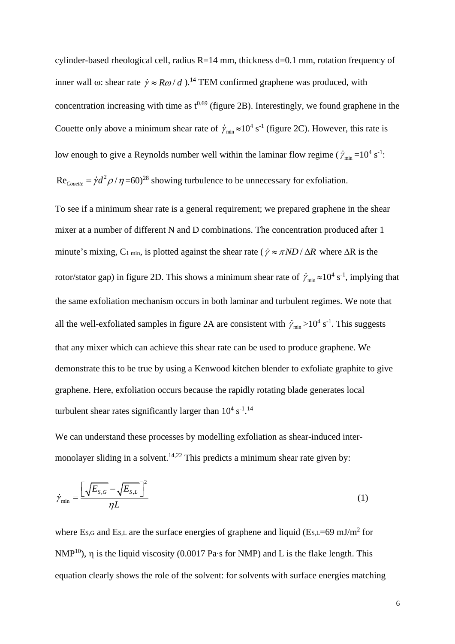cylinder-based rheological cell, radius  $R=14$  mm, thickness d=0.1 mm, rotation frequency of inner wall  $\omega$ : shear rate  $\dot{\gamma} \approx R\omega/d$ ).<sup>[14](#page-17-13)</sup> TEM confirmed graphene was produced, with concentration increasing with time as  $t^{0.69}$  (figure 2B). Interestingly, we found graphene in the Couette only above a minimum shear rate of  $\dot{\gamma}_{min} \approx 10^4 \text{ s}^{-1}$  (figure 2C). However, this rate is low enough to give a Reynolds number well within the laminar flow regime ( $\dot{\gamma}_{min}$ =10<sup>4</sup> s<sup>-1</sup>:  $\text{Re}_{\text{Counter}} = \dot{\gamma} d^2 \rho / \eta = 60$ <sup>[28](#page-18-6)</sup> showing turbulence to be unnecessary for exfoliation.

To see if a minimum shear rate is a general requirement; we prepared graphene in the shear mixer at a number of different N and D combinations. The concentration produced after 1 minute's mixing, C<sub>1</sub> min, is plotted against the shear rate ( $\dot{\gamma} \approx \pi N D / \Delta R$  where  $\Delta R$  is the rotor/stator gap) in figure 2D. This shows a minimum shear rate of  $\dot{\gamma}_{min} \approx 10^4 \text{ s}^{-1}$ , implying that the same exfoliation mechanism occurs in both laminar and turbulent regimes. We note that all the well-exfoliated samples in figure 2A are consistent with  $\dot{\gamma}_{min} > 10^4 \text{ s}^{-1}$ . This suggests that any mixer which can achieve this shear rate can be used to produce graphene. We demonstrate this to be true by using a Kenwood kitchen blender to exfoliate graphite to give graphene. Here, exfoliation occurs because the rapidly rotating blade generates local turbulent shear rates significantly larger than  $10^4$  s<sup>-1</sup>.<sup>[14](#page-17-13)</sup>

We can understand these processes by modelling exfoliation as shear-induced inter-monolayer sliding in a solvent.<sup>[14,](#page-17-13)[22](#page-18-0)</sup> This predicts a minimum shear rate given by:

$$
\dot{\gamma}_{\min} = \frac{\left[\sqrt{E_{S,G}} - \sqrt{E_{S,L}}\right]^2}{\eta L} \tag{1}
$$

where  $E_{S,G}$  and  $E_{S,L}$  are the surface energies of graphene and liquid ( $E_{S,L}=69$  mJ/m<sup>2</sup> for NMP<sup>[10](#page-17-9)</sup>),  $\eta$  is the liquid viscosity (0.0017 Pa⋅s for NMP) and L is the flake length. This equation clearly shows the role of the solvent: for solvents with surface energies matching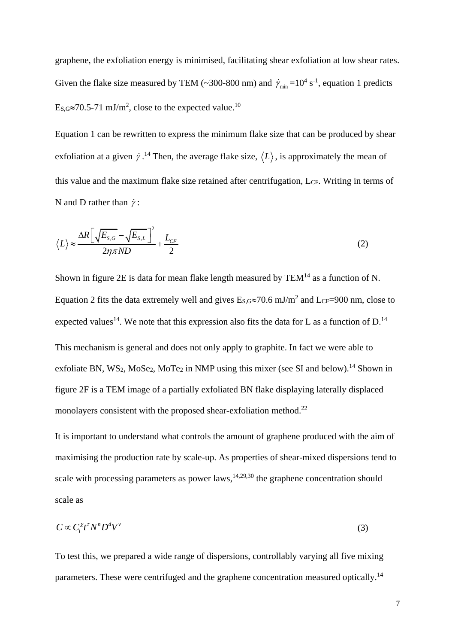graphene, the exfoliation energy is minimised, facilitating shear exfoliation at low shear rates. Given the flake size measured by TEM (~300-800 nm) and  $\dot{\gamma}_{min}$  =10<sup>4</sup> s<sup>-1</sup>, equation 1 predicts  $E_{S,G} \approx 70.5$ -71 mJ/m<sup>2</sup>, close to the expected value.<sup>[10](#page-17-9)</sup>

Equation 1 can be rewritten to express the minimum flake size that can be produced by shear exfoliation at a given  $\dot{\gamma}$ .<sup>[14](#page-17-13)</sup> Then, the average flake size,  $\langle L \rangle$ , is approximately the mean of this value and the maximum flake size retained after centrifugation, L<sub>CF</sub>. Writing in terms of N and D rather than  $\dot{\gamma}$ :

$$
\langle L \rangle \approx \frac{\Delta R \left[ \sqrt{E_{S,G}} - \sqrt{E_{S,L}} \right]^2}{2\eta \pi N D} + \frac{L_{CF}}{2}
$$
\n(2)

Shown in figure 2E is data for mean flake length measured by  $TEM<sup>14</sup>$  $TEM<sup>14</sup>$  $TEM<sup>14</sup>$  as a function of N. Equation 2 fits the data extremely well and gives  $E_{s,0} \approx 70.6$  mJ/m<sup>2</sup> and LcF=900 nm, close to expected values<sup>[14](#page-17-13)</sup>. We note that this expression also fits the data for L as a function of D.<sup>14</sup> This mechanism is general and does not only apply to graphite. In fact we were able to exfoliate BN, WS<sub>2</sub>, MoSe<sub>2</sub>, MoTe<sub>2</sub> in NMP using this mixer (see SI and below).<sup>[14](#page-17-13)</sup> Shown in figure 2F is a TEM image of a partially exfoliated BN flake displaying laterally displaced monolayers consistent with the proposed shear-exfoliation method.<sup>[22](#page-18-0)</sup>

It is important to understand what controls the amount of graphene produced with the aim of maximising the production rate by scale-up. As properties of shear-mixed dispersions tend to scale with processing parameters as power laws,  $14,29,30$  $14,29,30$  $14,29,30$  the graphene concentration should scale as

$$
C \propto C_i^{\chi} t^{\tau} N^n D^d V^{\nu} \tag{3}
$$

To test this, we prepared a wide range of dispersions, controllably varying all five mixing parameters. These were centrifuged and the graphene concentration measured optically.<sup>[14](#page-17-13)</sup>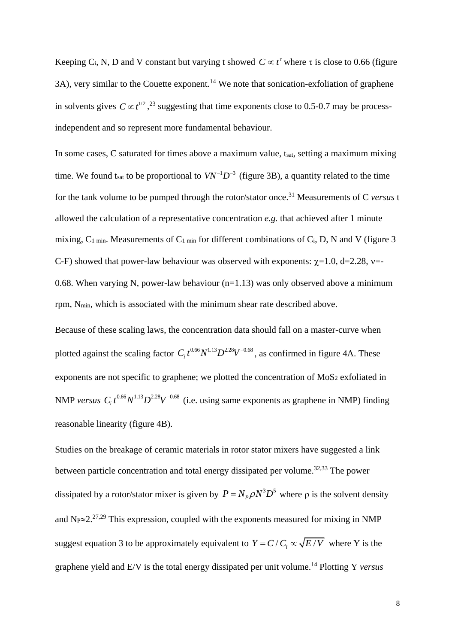Keeping C<sub>i</sub>, N, D and V constant but varying t showed  $C \propto t^{\tau}$  where  $\tau$  is close to 0.66 (figure 3A), very similar to the Couette exponent.<sup>[14](#page-17-13)</sup> We note that sonication-exfoliation of graphene in solvents gives  $C \propto t^{1/2}$ , <sup>[23](#page-18-1)</sup> suggesting that time exponents close to 0.5-0.7 may be processindependent and so represent more fundamental behaviour.

In some cases, C saturated for times above a maximum value, t<sub>sat</sub>, setting a maximum mixing time. We found t<sub>sat</sub> to be proportional to  $VN^{-1}D^{-3}$  (figure 3B), a quantity related to the time for the tank volume to be pumped through the rotor/stator once.[31](#page-18-9) Measurements of C *versus* t allowed the calculation of a representative concentration *e.g.* that achieved after 1 minute mixing, C<sub>1 min</sub>. Measurements of C<sub>1 min</sub> for different combinations of C<sub>i</sub>, D, N and V (figure 3 C-F) showed that power-law behaviour was observed with exponents:  $\chi$ =1.0, d=2.28, v=-0.68. When varying N, power-law behaviour  $(n=1.13)$  was only observed above a minimum rpm, Nmin, which is associated with the minimum shear rate described above.

Because of these scaling laws, the concentration data should fall on a master-curve when plotted against the scaling factor  $C_i t^{0.66} N^{1.13} D^{2.28} V^{-0.68}$ , as confirmed in figure 4A. These exponents are not specific to graphene; we plotted the concentration of  $MoS<sub>2</sub>$  exfoliated in NMP *versus*  $C_i t^{0.66} N^{1.13} D^{2.28} V^{-0.68}$  (i.e. using same exponents as graphene in NMP) finding reasonable linearity (figure 4B).

Studies on the breakage of ceramic materials in rotor stator mixers have suggested a link between particle concentration and total energy dissipated per volume.<sup>[32,](#page-18-10)[33](#page-18-11)</sup> The power dissipated by a rotor/stator mixer is given by  $P = N_p \rho N^3 D^5$  where  $\rho$  is the solvent density and  $N_P \approx 2.27,29$  $N_P \approx 2.27,29$  $N_P \approx 2.27,29$  This expression, coupled with the exponents measured for mixing in NMP suggest equation 3 to be approximately equivalent to  $Y = C/C_i \propto \sqrt{E/V}$  where Y is the graphene yield and E/V is the total energy dissipated per unit volume.[14](#page-17-13) Plotting Y *versus*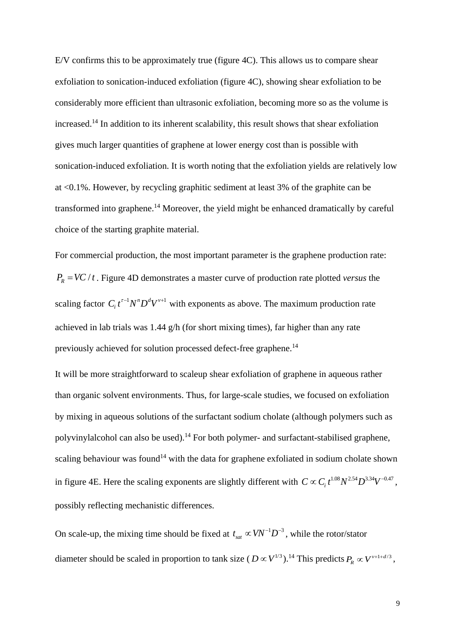E/V confirms this to be approximately true (figure 4C). This allows us to compare shear exfoliation to sonication-induced exfoliation (figure 4C), showing shear exfoliation to be considerably more efficient than ultrasonic exfoliation, becoming more so as the volume is increased.[14](#page-17-13) In addition to its inherent scalability, this result shows that shear exfoliation gives much larger quantities of graphene at lower energy cost than is possible with sonication-induced exfoliation. It is worth noting that the exfoliation yields are relatively low at <0.1%. However, by recycling graphitic sediment at least 3% of the graphite can be transformed into graphene.<sup>[14](#page-17-13)</sup> Moreover, the yield might be enhanced dramatically by careful choice of the starting graphite material.

For commercial production, the most important parameter is the graphene production rate:  $P_R = VC / t$ . Figure 4D demonstrates a master curve of production rate plotted *versus* the scaling factor  $C_i t^{r-1} N^n D^d V^{v+1}$  with exponents as above. The maximum production rate achieved in lab trials was 1.44 g/h (for short mixing times), far higher than any rate previously achieved for solution processed defect-free graphene.<sup>[14](#page-17-13)</sup>

It will be more straightforward to scaleup shear exfoliation of graphene in aqueous rather than organic solvent environments. Thus, for large-scale studies, we focused on exfoliation by mixing in aqueous solutions of the surfactant sodium cholate (although polymers such as polyvinylalcohol can also be used).<sup>[14](#page-17-13)</sup> For both polymer- and surfactant-stabilised graphene, scaling behaviour was found<sup>[14](#page-17-13)</sup> with the data for graphene exfoliated in sodium cholate shown in figure 4E. Here the scaling exponents are slightly different with  $C \propto C_i t^{1.08} N^{2.54} D^{3.34} V^{-0.47}$ , possibly reflecting mechanistic differences.

On scale-up, the mixing time should be fixed at  $t_{sat} \propto V N^{-1} D^{-3}$ , while the rotor/stator diameter should be scaled in proportion to tank size  $(D \propto V^{1/3})$ .<sup>[14](#page-17-13)</sup> This predicts  $P_R \propto V^{\nu+1+d/3}$ ,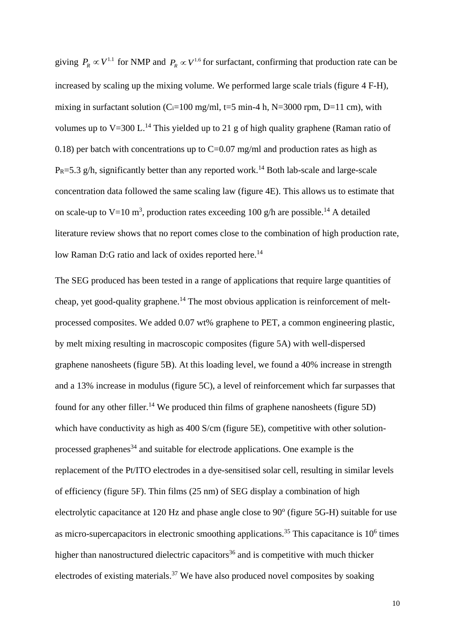giving  $P_R \propto V^{1.1}$  for NMP and  $P_R \propto V^{1.6}$  for surfactant, confirming that production rate can be increased by scaling up the mixing volume. We performed large scale trials (figure 4 F-H), mixing in surfactant solution ( $C_i$ =100 mg/ml, t=5 min-4 h, N=3000 rpm, D=11 cm), with volumes up to  $V=300$  L.<sup>[14](#page-17-13)</sup> This yielded up to 21 g of high quality graphene (Raman ratio of 0.18) per batch with concentrations up to  $C=0.07$  mg/ml and production rates as high as  $P_R$ =5.3 g/h, significantly better than any reported work.<sup>[14](#page-17-13)</sup> Both lab-scale and large-scale concentration data followed the same scaling law (figure 4E). This allows us to estimate that on scale-up to V=10 m<sup>3</sup>, production rates exceeding 100 g/h are possible.<sup>[14](#page-17-13)</sup> A detailed literature review shows that no report comes close to the combination of high production rate, low Raman D:G ratio and lack of oxides reported here.<sup>[14](#page-17-13)</sup>

The SEG produced has been tested in a range of applications that require large quantities of cheap, yet good-quality graphene.<sup>[14](#page-17-13)</sup> The most obvious application is reinforcement of meltprocessed composites. We added 0.07 wt% graphene to PET, a common engineering plastic, by melt mixing resulting in macroscopic composites (figure 5A) with well-dispersed graphene nanosheets (figure 5B). At this loading level, we found a 40% increase in strength and a 13% increase in modulus (figure 5C), a level of reinforcement which far surpasses that found for any other filler.<sup>[14](#page-17-13)</sup> We produced thin films of graphene nanosheets (figure 5D) which have conductivity as high as 400 S/cm (figure 5E), competitive with other solution-processed graphenes<sup>[34](#page-18-12)</sup> and suitable for electrode applications. One example is the replacement of the Pt/ITO electrodes in a dye-sensitised solar cell, resulting in similar levels of efficiency (figure 5F). Thin films (25 nm) of SEG display a combination of high electrolytic capacitance at 120 Hz and phase angle close to 90° (figure 5G-H) suitable for use as micro-supercapacitors in electronic smoothing applications.<sup>[35](#page-18-13)</sup> This capacitance is  $10<sup>6</sup>$  times higher than nanostructured dielectric capacitors<sup>[36](#page-18-14)</sup> and is competitive with much thicker electrodes of existing materials.<sup>[37](#page-18-15)</sup> We have also produced novel composites by soaking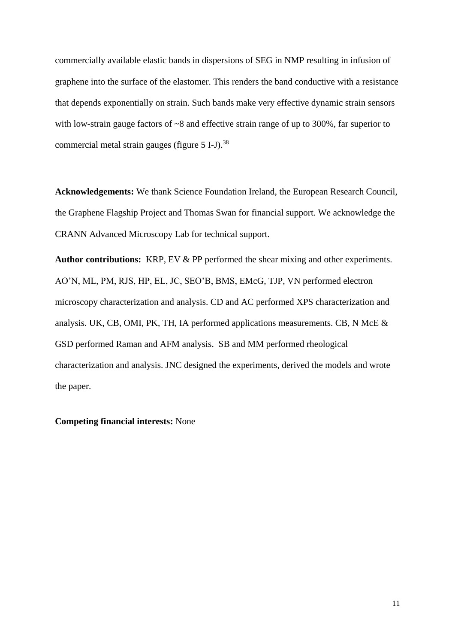commercially available elastic bands in dispersions of SEG in NMP resulting in infusion of graphene into the surface of the elastomer. This renders the band conductive with a resistance that depends exponentially on strain. Such bands make very effective dynamic strain sensors with low-strain gauge factors of  $\sim 8$  and effective strain range of up to 300%, far superior to commercial metal strain gauges (figure 5 I-J).<sup>[38](#page-18-16)</sup>

**Acknowledgements:** We thank Science Foundation Ireland, the European Research Council, the Graphene Flagship Project and Thomas Swan for financial support. We acknowledge the CRANN Advanced Microscopy Lab for technical support.

**Author contributions:** KRP, EV & PP performed the shear mixing and other experiments. AO'N, ML, PM, RJS, HP, EL, JC, SEO'B, BMS, EMcG, TJP, VN performed electron microscopy characterization and analysis. CD and AC performed XPS characterization and analysis. UK, CB, OMI, PK, TH, IA performed applications measurements. CB, N McE & GSD performed Raman and AFM analysis. SB and MM performed rheological characterization and analysis. JNC designed the experiments, derived the models and wrote the paper.

#### **Competing financial interests:** None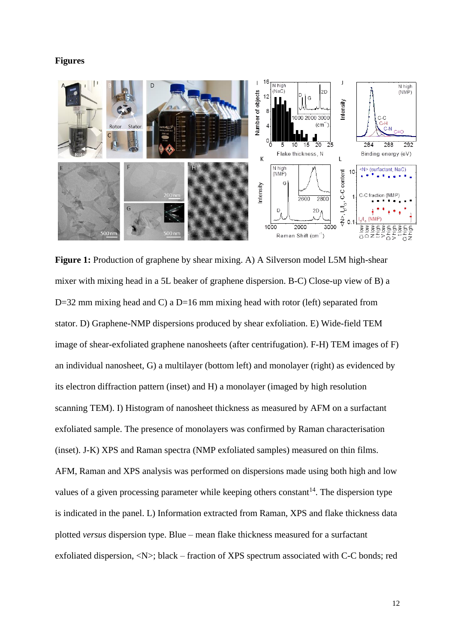#### **Figures**



**Figure 1:** Production of graphene by shear mixing. A) A Silverson model L5M high-shear mixer with mixing head in a 5L beaker of graphene dispersion. B-C) Close-up view of B) a D=32 mm mixing head and C) a D=16 mm mixing head with rotor (left) separated from stator. D) Graphene-NMP dispersions produced by shear exfoliation. E) Wide-field TEM image of shear-exfoliated graphene nanosheets (after centrifugation). F-H) TEM images of F) an individual nanosheet, G) a multilayer (bottom left) and monolayer (right) as evidenced by its electron diffraction pattern (inset) and H) a monolayer (imaged by high resolution scanning TEM). I) Histogram of nanosheet thickness as measured by AFM on a surfactant exfoliated sample. The presence of monolayers was confirmed by Raman characterisation (inset). J-K) XPS and Raman spectra (NMP exfoliated samples) measured on thin films. AFM, Raman and XPS analysis was performed on dispersions made using both high and low values of a given processing parameter while keeping others constant<sup>[14](#page-17-13)</sup>. The dispersion type is indicated in the panel. L) Information extracted from Raman, XPS and flake thickness data plotted *versus* dispersion type. Blue – mean flake thickness measured for a surfactant exfoliated dispersion, <N>; black – fraction of XPS spectrum associated with C-C bonds; red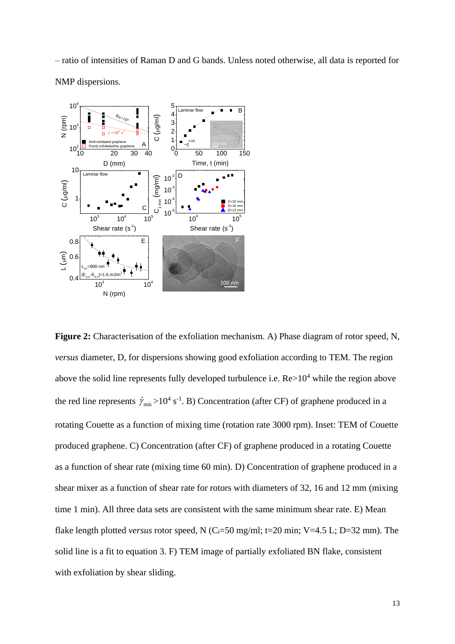– ratio of intensities of Raman D and G bands. Unless noted otherwise, all data is reported for NMP dispersions.



**Figure 2:** Characterisation of the exfoliation mechanism. A) Phase diagram of rotor speed, N, *versus* diameter, D, for dispersions showing good exfoliation according to TEM. The region above the solid line represents fully developed turbulence i.e.  $Re>10^4$  while the region above the red line represents  $\dot{\gamma}_{min} > 10^4 \text{ s}^{-1}$ . B) Concentration (after CF) of graphene produced in a rotating Couette as a function of mixing time (rotation rate 3000 rpm). Inset: TEM of Couette produced graphene. C) Concentration (after CF) of graphene produced in a rotating Couette as a function of shear rate (mixing time 60 min). D) Concentration of graphene produced in a shear mixer as a function of shear rate for rotors with diameters of 32, 16 and 12 mm (mixing time 1 min). All three data sets are consistent with the same minimum shear rate. E) Mean flake length plotted *versus* rotor speed, N (C<sub>i</sub>=50 mg/ml; t=20 min; V=4.5 L; D=32 mm). The solid line is a fit to equation 3. F) TEM image of partially exfoliated BN flake, consistent with exfoliation by shear sliding.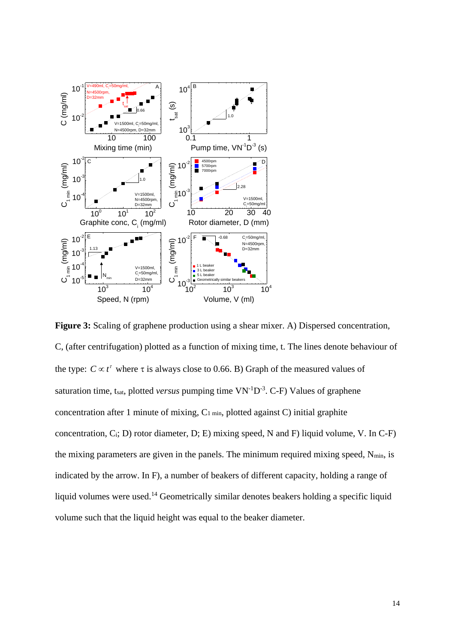

14 10 100 **Figure 3:** Scaling of graphene production using a shear mixer. A) Dispersed concentration, C, (after centrifugation) plotted as a function of mixing time, t. The lines denote behaviour of the type:  $C \propto t^{\tau}$  where  $\tau$  is always close to 0.66. B) Graph of the measured values of saturation time, t<sub>sat</sub>, plotted *versus* pumping time  $VN^{-1}D^{-3}$ . C-F) Values of graphene concentration after 1 minute of mixing,  $C_1$  min, plotted against C) initial graphite concentration,  $C_i$ ; D) rotor diameter, D; E) mixing speed, N and F) liquid volume, V. In C-F) the mixing parameters are given in the panels. The minimum required mixing speed,  $N_{min}$ , is indicated by the arrow. In F), a number of beakers of different capacity, holding a range of liquid volumes were used.<sup>[14](#page-17-13)</sup> Geometrically similar denotes beakers holding a specific liquid volume such that the liquid height was equal to the beaker diameter.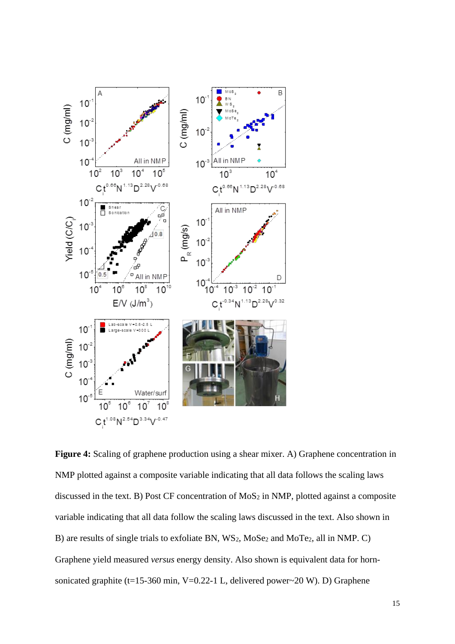

**Figure 4:** Scaling of graphene production using a shear mixer. A) Graphene concentration in NMP plotted against a composite variable indicating that all data follows the scaling laws discussed in the text. B) Post CF concentration of MoS<sub>2</sub> in NMP, plotted against a composite variable indicating that all data follow the scaling laws discussed in the text. Also shown in B) are results of single trials to exfoliate BN, WS2, MoSe<sup>2</sup> and MoTe2, all in NMP. C) Graphene yield measured *versus* energy density. Also shown is equivalent data for hornsonicated graphite (t=15-360 min, V=0.22-1 L, delivered power~20 W). D) Graphene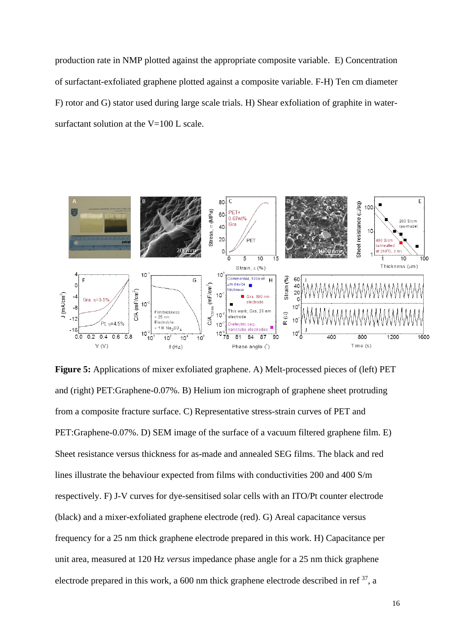production rate in NMP plotted against the appropriate composite variable. E) Concentration of surfactant-exfoliated graphene plotted against a composite variable. F-H) Ten cm diameter F) rotor and G) stator used during large scale trials. H) Shear exfoliation of graphite in watersurfactant solution at the  $V=100$  L scale.



**Figure 5:** Applications of mixer exfoliated graphene. A) Melt-processed pieces of (left) PET and (right) PET:Graphene-0.07%. B) Helium ion micrograph of graphene sheet protruding from a composite fracture surface. C) Representative stress-strain curves of PET and PET:Graphene-0.07%. D) SEM image of the surface of a vacuum filtered graphene film. E) Sheet resistance versus thickness for as-made and annealed SEG films. The black and red lines illustrate the behaviour expected from films with conductivities 200 and 400 S/m respectively. F) J-V curves for dye-sensitised solar cells with an ITO/Pt counter electrode (black) and a mixer-exfoliated graphene electrode (red). G) Areal capacitance versus frequency for a 25 nm thick graphene electrode prepared in this work. H) Capacitance per unit area, measured at 120 Hz *versus* impedance phase angle for a 25 nm thick graphene electrode prepared in this work, a 600 nm thick graphene electrode described in ref  $^{37}$  $^{37}$  $^{37}$ , a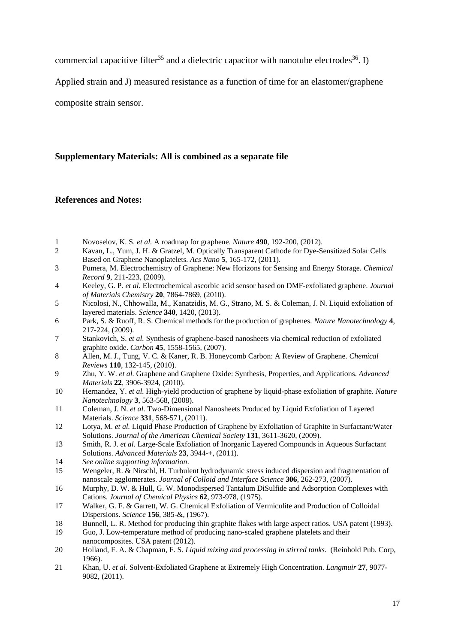commercial capacitive filter<sup>[35](#page-18-13)</sup> and a dielectric capacitor with nanotube electrodes<sup>[36](#page-18-14)</sup>. I)

Applied strain and J) measured resistance as a function of time for an elastomer/graphene

composite strain sensor.

#### **Supplementary Materials: All is combined as a separate file**

#### **References and Notes:**

- <span id="page-17-0"></span>1 Novoselov, K. S. *et al.* A roadmap for graphene. *Nature* **490**, 192-200, (2012).
- <span id="page-17-1"></span>2 Kavan, L., Yum, J. H. & Gratzel, M. Optically Transparent Cathode for Dye-Sensitized Solar Cells Based on Graphene Nanoplatelets. *Acs Nano* **5**, 165-172, (2011).
- <span id="page-17-2"></span>3 Pumera, M. Electrochemistry of Graphene: New Horizons for Sensing and Energy Storage. *Chemical Record* **9**, 211-223, (2009).
- <span id="page-17-3"></span>4 Keeley, G. P. *et al.* Electrochemical ascorbic acid sensor based on DMF-exfoliated graphene. *Journal of Materials Chemistry* **20**, 7864-7869, (2010).
- <span id="page-17-4"></span>5 Nicolosi, N., Chhowalla, M., Kanatzidis, M. G., Strano, M. S. & Coleman, J. N. Liquid exfoliation of layered materials. *Science* **340**, 1420, (2013).
- <span id="page-17-5"></span>6 Park, S. & Ruoff, R. S. Chemical methods for the production of graphenes. *Nature Nanotechnology* **4**, 217-224, (2009).
- <span id="page-17-6"></span>7 Stankovich, S. *et al.* Synthesis of graphene-based nanosheets via chemical reduction of exfoliated graphite oxide. *Carbon* **45**, 1558-1565, (2007).
- <span id="page-17-7"></span>8 Allen, M. J., Tung, V. C. & Kaner, R. B. Honeycomb Carbon: A Review of Graphene. *Chemical Reviews* **110**, 132-145, (2010).
- <span id="page-17-8"></span>9 Zhu, Y. W. *et al.* Graphene and Graphene Oxide: Synthesis, Properties, and Applications. *Advanced Materials* **22**, 3906-3924, (2010).
- <span id="page-17-9"></span>10 Hernandez, Y. *et al.* High-yield production of graphene by liquid-phase exfoliation of graphite. *Nature Nanotechnology* **3**, 563-568, (2008).
- <span id="page-17-10"></span>11 Coleman, J. N. *et al.* Two-Dimensional Nanosheets Produced by Liquid Exfoliation of Layered Materials. *Science* **331**, 568-571, (2011).
- <span id="page-17-11"></span>12 Lotya, M. *et al.* Liquid Phase Production of Graphene by Exfoliation of Graphite in Surfactant/Water Solutions. *Journal of the American Chemical Society* **131**, 3611-3620, (2009).
- <span id="page-17-12"></span>13 Smith, R. J. *et al.* Large-Scale Exfoliation of Inorganic Layered Compounds in Aqueous Surfactant Solutions. *Advanced Materials* **23**, 3944-+, (2011).
- <span id="page-17-13"></span>14 *See online supporting information*.
- <span id="page-17-14"></span>15 Wengeler, R. & Nirschl, H. Turbulent hydrodynamic stress induced dispersion and fragmentation of nanoscale agglomerates. *Journal of Colloid and Interface Science* **306**, 262-273, (2007).
- <span id="page-17-15"></span>16 Murphy, D. W. & Hull, G. W. Monodispersed Tantalum DiSulfide and Adsorption Complexes with Cations. *Journal of Chemical Physics* **62**, 973-978, (1975).
- 17 Walker, G. F. & Garrett, W. G. Chemical Exfoliation of Vermiculite and Production of Colloidal Dispersions. *Science* **156**, 385-&, (1967).
- 18 Bunnell, L. R. Method for producing thin graphite flakes with large aspect ratios. USA patent (1993).
- 19 Guo, J. Low-temperature method of producing nano-scaled graphene platelets and their nanocomposites. USA patent (2012).
- <span id="page-17-16"></span>20 Holland, F. A. & Chapman, F. S. *Liquid mixing and processing in stirred tanks*. (Reinhold Pub. Corp, 1966).
- <span id="page-17-17"></span>21 Khan, U. *et al.* Solvent-Exfoliated Graphene at Extremely High Concentration. *Langmuir* **27**, 9077- 9082, (2011).